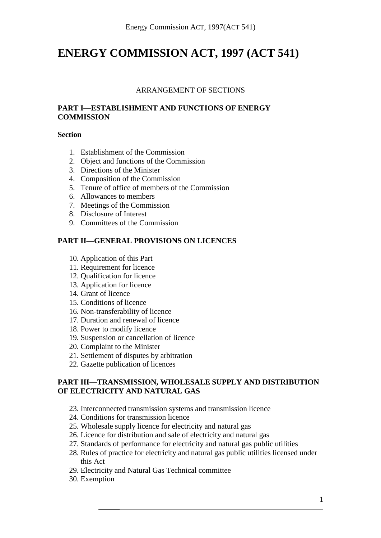# **ENERGY COMMISSION ACT, 1997 (ACT 541)**

## ARRANGEMENT OF SECTIONS

## **PART I—ESTABLISHMENT AND FUNCTIONS OF ENERGY COMMISSION**

#### **Section**

- 1. Establishment of the Commission
- 2. Object and functions of the Commission
- 3. Directions of the Minister
- 4. Composition of the Commission
- 5. Tenure of office of members of the Commission
- 6. Allowances to members
- 7. Meetings of the Commission
- 8. Disclosure of Interest
- 9. Committees of the Commission

## **PART II—GENERAL PROVISIONS ON LICENCES**

- 10. Application of this Part
- 11. Requirement for licence
- 12. Qualification for licence
- 13. Application for licence
- 14. Grant of licence
- 15. Conditions of licence
- 16. Non-transferability of licence
- 17. Duration and renewal of licence
- 18. Power to modify licence
- 19. Suspension or cancellation of licence
- 20. Complaint to the Minister
- 21. Settlement of disputes by arbitration
- 22. Gazette publication of licences

## **PART III—TRANSMISSION, WHOLESALE SUPPLY AND DISTRIBUTION OF ELECTRICITY AND NATURAL GAS**

- 23. Interconnected transmission systems and transmission licence
- 24. Conditions for transmission licence
- 25. Wholesale supply licence for electricity and natural gas
- 26. Licence for distribution and sale of electricity and natural gas
- 27. Standards of performance for electricity and natural gas public utilities
- 28. Rules of practice for electricity and natural gas public utilities licensed under this Act
- 29. Electricity and Natural Gas Technical committee
- 30. Exemption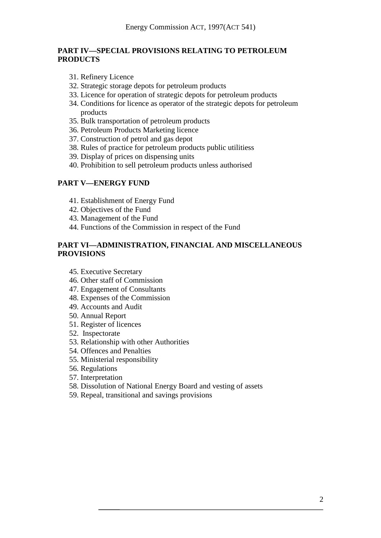## **PART IV—SPECIAL PROVISIONS RELATING TO PETROLEUM PRODUCTS**

- 31. Refinery Licence
- 32. Strategic storage depots for petroleum products
- 33. Licence for operation of strategic depots for petroleum products
- 34. Conditions for licence as operator of the strategic depots for petroleum products
- 35. Bulk transportation of petroleum products
- 36. Petroleum Products Marketing licence
- 37. Construction of petrol and gas depot
- 38. Rules of practice for petroleum products public utilitiess
- 39. Display of prices on dispensing units
- 40. Prohibition to sell petroleum products unless authorised

## **PART V—ENERGY FUND**

- 41. Establishment of Energy Fund
- 42. Objectives of the Fund
- 43. Management of the Fund
- 44. Functions of the Commission in respect of the Fund

## **PART VI—ADMINISTRATION, FINANCIAL AND MISCELLANEOUS PROVISIONS**

- 45. Executive Secretary
- 46. Other staff of Commission
- 47. Engagement of Consultants
- 48. Expenses of the Commission
- 49. Accounts and Audit
- 50. Annual Report
- 51. Register of licences
- 52. Inspectorate
- 53. Relationship with other Authorities
- 54. Offences and Penalties
- 55. Ministerial responsibility
- 56. Regulations
- 57. Interpretation
- 58. Dissolution of National Energy Board and vesting of assets
- 59. Repeal, transitional and savings provisions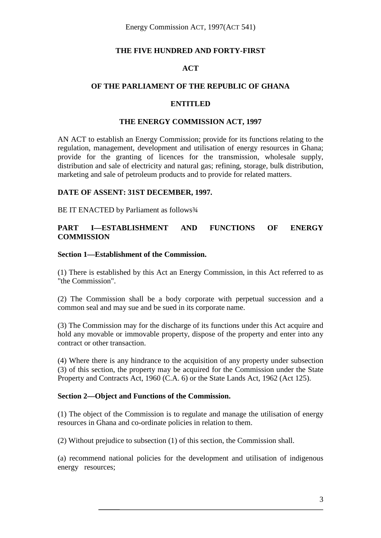Energy Commission ACT, 1997(ACT 541)

#### **THE FIVE HUNDRED AND FORTY-FIRST**

## **ACT**

## **OF THE PARLIAMENT OF THE REPUBLIC OF GHANA**

#### **ENTITLED**

#### **THE ENERGY COMMISSION ACT, 1997**

AN ACT to establish an Energy Commission; provide for its functions relating to the regulation, management, development and utilisation of energy resources in Ghana; provide for the granting of licences for the transmission, wholesale supply, distribution and sale of electricity and natural gas; refining, storage, bulk distribution, marketing and sale of petroleum products and to provide for related matters.

#### **DATE OF ASSENT: 31ST DECEMBER, 1997.**

BE IT ENACTED by Parliament as follows<sup>3/4</sup>

## **PART I—ESTABLISHMENT AND FUNCTIONS OF ENERGY COMMISSION**

#### **Section 1—Establishment of the Commission.**

(1) There is established by this Act an Energy Commission, in this Act referred to as "the Commission".

(2) The Commission shall be a body corporate with perpetual succession and a common seal and may sue and be sued in its corporate name.

(3) The Commission may for the discharge of its functions under this Act acquire and hold any movable or immovable property, dispose of the property and enter into any contract or other transaction.

(4) Where there is any hindrance to the acquisition of any property under subsection (3) of this section, the property may be acquired for the Commission under the State Property and Contracts Act, 1960 (C.A. 6) or the State Lands Act, 1962 (Act 125).

#### **Section 2—Object and Functions of the Commission.**

(1) The object of the Commission is to regulate and manage the utilisation of energy resources in Ghana and co-ordinate policies in relation to them.

(2) Without prejudice to subsection (1) of this section, the Commission shall.

(a) recommend national policies for the development and utilisation of indigenous energy resources;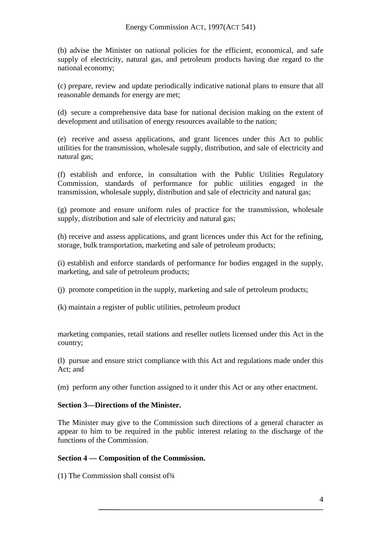(b) advise the Minister on national policies for the efficient, economical, and safe supply of electricity, natural gas, and petroleum products having due regard to the national economy;

(c) prepare, review and update periodically indicative national plans to ensure that all reasonable demands for energy are met;

(d) secure a comprehensive data base for national decision making on the extent of development and utilisation of energy resources available to the nation;

(e) receive and assess applications, and grant licences under this Act to public utilities for the transmission, wholesale supply, distribution, and sale of electricity and natural gas;

(f) establish and enforce, in consultation with the Public Utilities Regulatory Commission, standards of performance for public utilities engaged in the transmission, wholesale supply, distribution and sale of electricity and natural gas;

(g) promote and ensure uniform rules of practice for the transmission, wholesale supply, distribution and sale of electricity and natural gas;

(h) receive and assess applications, and grant licences under this Act for the refining, storage, bulk transportation, marketing and sale of petroleum products;

(i) establish and enforce standards of performance for bodies engaged in the supply, marketing, and sale of petroleum products;

(j) promote competition in the supply, marketing and sale of petroleum products;

(k) maintain a register of public utilities, petroleum product

marketing companies, retail stations and reseller outlets licensed under this Act in the country;

(l) pursue and ensure strict compliance with this Act and regulations made under this Act; and

(m) perform any other function assigned to it under this Act or any other enactment.

#### **Section 3—Directions of the Minister.**

The Minister may give to the Commission such directions of a general character as appear to him to be required in the public interest relating to the discharge of the functions of the Commission.

## **Section 4 — Composition of the Commission.**

(1) The Commission shall consist of  $\frac{3}{4}$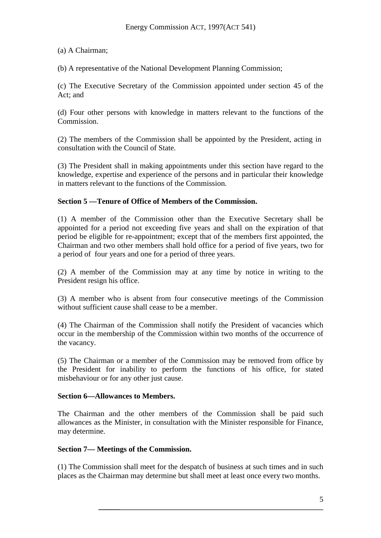## (a) A Chairman;

(b) A representative of the National Development Planning Commission;

(c) The Executive Secretary of the Commission appointed under section 45 of the Act; and

(d) Four other persons with knowledge in matters relevant to the functions of the Commission.

(2) The members of the Commission shall be appointed by the President, acting in consultation with the Council of State.

(3) The President shall in making appointments under this section have regard to the knowledge, expertise and experience of the persons and in particular their knowledge in matters relevant to the functions of the Commission.

## **Section 5 —Tenure of Office of Members of the Commission.**

(1) A member of the Commission other than the Executive Secretary shall be appointed for a period not exceeding five years and shall on the expiration of that period be eligible for re-appointment; except that of the members first appointed, the Chairman and two other members shall hold office for a period of five years, two for a period of four years and one for a period of three years.

(2) A member of the Commission may at any time by notice in writing to the President resign his office.

(3) A member who is absent from four consecutive meetings of the Commission without sufficient cause shall cease to be a member.

(4) The Chairman of the Commission shall notify the President of vacancies which occur in the membership of the Commission within two months of the occurrence of the vacancy.

(5) The Chairman or a member of the Commission may be removed from office by the President for inability to perform the functions of his office, for stated misbehaviour or for any other just cause.

#### **Section 6—Allowances to Members.**

The Chairman and the other members of the Commission shall be paid such allowances as the Minister, in consultation with the Minister responsible for Finance, may determine.

#### **Section 7— Meetings of the Commission.**

(1) The Commission shall meet for the despatch of business at such times and in such places as the Chairman may determine but shall meet at least once every two months.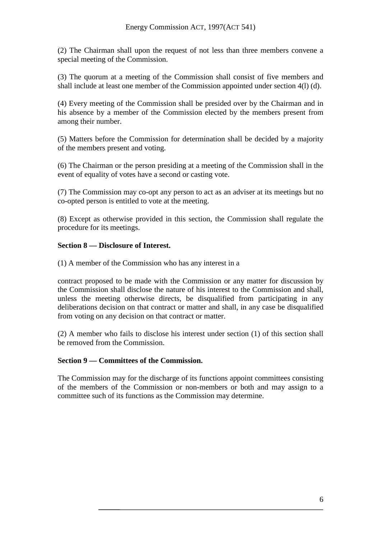(2) The Chairman shall upon the request of not less than three members convene a special meeting of the Commission.

(3) The quorum at a meeting of the Commission shall consist of five members and shall include at least one member of the Commission appointed under section 4(l) (d).

(4) Every meeting of the Commission shall be presided over by the Chairman and in his absence by a member of the Commission elected by the members present from among their number.

(5) Matters before the Commission for determination shall be decided by a majority of the members present and voting.

(6) The Chairman or the person presiding at a meeting of the Commission shall in the event of equality of votes have a second or casting vote.

(7) The Commission may co-opt any person to act as an adviser at its meetings but no co-opted person is entitled to vote at the meeting.

(8) Except as otherwise provided in this section, the Commission shall regulate the procedure for its meetings.

#### **Section 8 — Disclosure of Interest.**

(1) A member of the Commission who has any interest in a

contract proposed to be made with the Commission or any matter for discussion by the Commission shall disclose the nature of his interest to the Commission and shall, unless the meeting otherwise directs, be disqualified from participating in any deliberations decision on that contract or matter and shall, in any case be disqualified from voting on any decision on that contract or matter.

(2) A member who fails to disclose his interest under section (1) of this section shall be removed from the Commission.

#### **Section 9 — Committees of the Commission.**

The Commission may for the discharge of its functions appoint committees consisting of the members of the Commission or non-members or both and may assign to a committee such of its functions as the Commission may determine.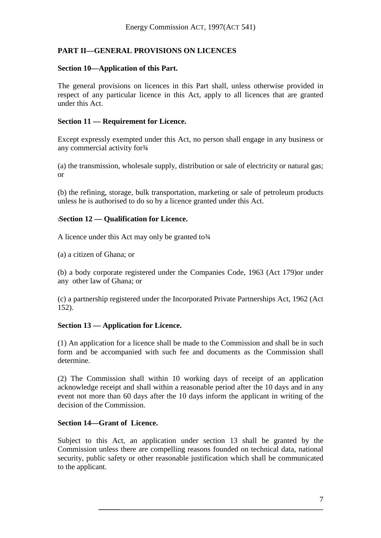# **PART II—GENERAL PROVISIONS ON LICENCES**

## **Section 10—Application of this Part.**

The general provisions on licences in this Part shall, unless otherwise provided in respect of any particular licence in this Act, apply to all licences that are granted under this Act.

## **Section 11 — Requirement for Licence.**

Except expressly exempted under this Act, no person shall engage in any business or any commercial activity for 3/4

(a) the transmission, wholesale supply, distribution or sale of electricity or natural gas; or

(b) the refining, storage, bulk transportation, marketing or sale of petroleum products unless he is authorised to do so by a licence granted under this Act.

## \**Section 12 — Qualification for Licence.**

A licence under this Act may only be granted to 3/4

(a) a citizen of Ghana; or

(b) a body corporate registered under the Companies Code, 1963 (Act 179)or under any other law of Ghana; or

(c) a partnership registered under the Incorporated Private Partnerships Act, 1962 (Act 152).

## **Section 13 — Application for Licence.**

(1) An application for a licence shall be made to the Commission and shall be in such form and be accompanied with such fee and documents as the Commission shall determine.

(2) The Commission shall within 10 working days of receipt of an application acknowledge receipt and shall within a reasonable period after the 10 days and in any event not more than 60 days after the 10 days inform the applicant in writing of the decision of the Commission.

#### **Section 14—Grant of Licence.**

Subject to this Act, an application under section 13 shall be granted by the Commission unless there are compelling reasons founded on technical data, national security, public safety or other reasonable justification which shall be communicated to the applicant.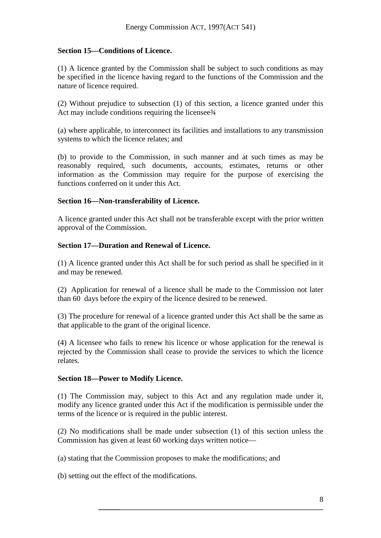## **Section 15—Conditions of Licence.**

(1) A licence granted by the Commission shall be subject to such conditions as may be specified in the licence having regard to the functions of the Commission and the nature of licence required.

(2) Without prejudice to subsection (1) of this section, a licence granted under this Act may include conditions requiring the licensee 3⁄4

(a) where applicable, to interconnect its facilities and installations to any transmission systems to which the licence relates; and

(b) to provide to the Commission, in such manner and at such times as may be reasonably required, such documents, accounts, estimates, returns or other information as the Commission may require for the purpose of exercising the functions conferred on it under this Act.

#### **Section 16—Non-transferability of Licence.**

A licence granted under this Act shall not be transferable except with the prior written approval of the Commission.

#### **Section 17—Duration and Renewal of Licence.**

(1) A licence granted under this Act shall be for such period as shall be specified in it and may be renewed.

(2) Application for renewal of a licence shall be made to the Commission not later than 60 days before the expiry of the licence desired to be renewed.

(3) The procedure for renewal of a licence granted under this Act shall be the same as that applicable to the grant of the original licence.

(4) A licensee who fails to renew his licence or whose application for the renewal is rejected by the Commission shall cease to provide the services to which the licence relates.

#### **Section 18—Power to Modify Licence.**

(1) The Commission may, subject to this Act and any regulation made under it, modify any licence granted under this Act if the modification is permissible under the terms of the licence or is required in the public interest.

(2) No modifications shall be made under subsection (1) of this section unless the Commission has given at least 60 working days written notice—

(a) stating that the Commission proposes to make the modifications; and

(b) setting out the effect of the modifications.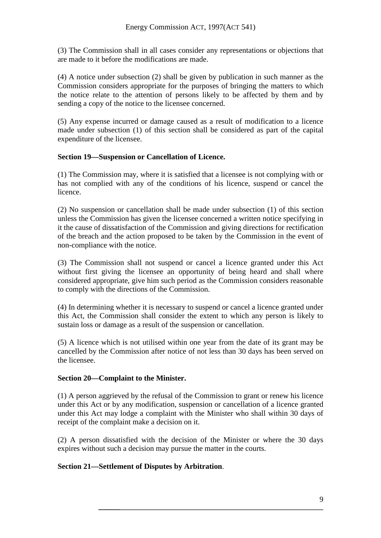(3) The Commission shall in all cases consider any representations or objections that are made to it before the modifications are made.

(4) A notice under subsection (2) shall be given by publication in such manner as the Commission considers appropriate for the purposes of bringing the matters to which the notice relate to the attention of persons likely to be affected by them and by sending a copy of the notice to the licensee concerned.

(5) Any expense incurred or damage caused as a result of modification to a licence made under subsection (1) of this section shall be considered as part of the capital expenditure of the licensee.

#### **Section 19—Suspension or Cancellation of Licence.**

(1) The Commission may, where it is satisfied that a licensee is not complying with or has not complied with any of the conditions of his licence, suspend or cancel the licence.

(2) No suspension or cancellation shall be made under subsection (1) of this section unless the Commission has given the licensee concerned a written notice specifying in it the cause of dissatisfaction of the Commission and giving directions for rectification of the breach and the action proposed to be taken by the Commission in the event of non-compliance with the notice.

(3) The Commission shall not suspend or cancel a licence granted under this Act without first giving the licensee an opportunity of being heard and shall where considered appropriate, give him such period as the Commission considers reasonable to comply with the directions of the Commission.

(4) In determining whether it is necessary to suspend or cancel a licence granted under this Act, the Commission shall consider the extent to which any person is likely to sustain loss or damage as a result of the suspension or cancellation.

(5) A licence which is not utilised within one year from the date of its grant may be cancelled by the Commission after notice of not less than 30 days has been served on the licensee.

#### **Section 20—Complaint to the Minister.**

(1) A person aggrieved by the refusal of the Commission to grant or renew his licence under this Act or by any modification, suspension or cancellation of a licence granted under this Act may lodge a complaint with the Minister who shall within 30 days of receipt of the complaint make a decision on it.

(2) A person dissatisfied with the decision of the Minister or where the 30 days expires without such a decision may pursue the matter in the courts.

## **Section 21—Settlement of Disputes by Arbitration**.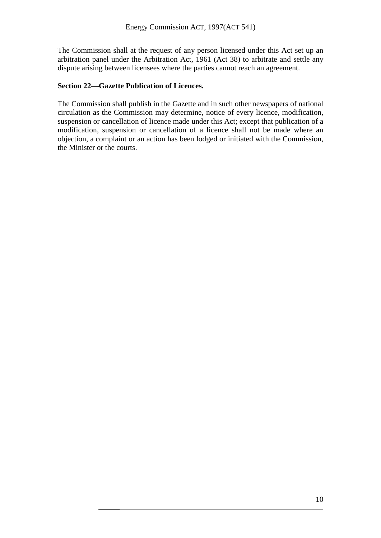The Commission shall at the request of any person licensed under this Act set up an arbitration panel under the Arbitration Act, 1961 (Act 38) to arbitrate and settle any dispute arising between licensees where the parties cannot reach an agreement.

## **Section 22—Gazette Publication of Licences.**

The Commission shall publish in the Gazette and in such other newspapers of national circulation as the Commission may determine, notice of every licence, modification, suspension or cancellation of licence made under this Act; except that publication of a modification, suspension or cancellation of a licence shall not be made where an objection, a complaint or an action has been lodged or initiated with the Commission, the Minister or the courts.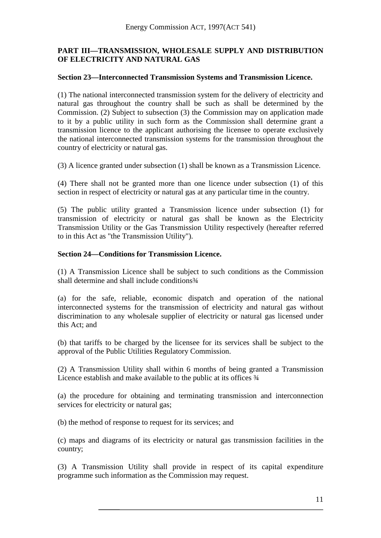## **PART III—TRANSMISSION, WHOLESALE SUPPLY AND DISTRIBUTION OF ELECTRICITY AND NATURAL GAS**

#### **Section 23—Interconnected Transmission Systems and Transmission Licence.**

(1) The national interconnected transmission system for the delivery of electricity and natural gas throughout the country shall be such as shall be determined by the Commission. (2) Subject to subsection (3) the Commission may on application made to it by a public utility in such form as the Commission shall determine grant a transmission licence to the applicant authorising the licensee to operate exclusively the national interconnected transmission systems for the transmission throughout the country of electricity or natural gas.

(3) A licence granted under subsection (1) shall be known as a Transmission Licence.

(4) There shall not be granted more than one licence under subsection (1) of this section in respect of electricity or natural gas at any particular time in the country.

(5) The public utility granted a Transmission licence under subsection (1) for transmission of electricity or natural gas shall be known as the Electricity Transmission Utility or the Gas Transmission Utility respectively (hereafter referred to in this Act as "the Transmission Utility").

#### **Section 24—Conditions for Transmission Licence.**

(1) A Transmission Licence shall be subject to such conditions as the Commission shall determine and shall include conditions<sup>3</sup>/4

(a) for the safe, reliable, economic dispatch and operation of the national interconnected systems for the transmission of electricity and natural gas without discrimination to any wholesale supplier of electricity or natural gas licensed under this Act; and

(b) that tariffs to be charged by the licensee for its services shall be subject to the approval of the Public Utilities Regulatory Commission.

(2) A Transmission Utility shall within 6 months of being granted a Transmission Licence establish and make available to the public at its offices ¾

(a) the procedure for obtaining and terminating transmission and interconnection services for electricity or natural gas;

(b) the method of response to request for its services; and

(c) maps and diagrams of its electricity or natural gas transmission facilities in the country;

(3) A Transmission Utility shall provide in respect of its capital expenditure programme such information as the Commission may request.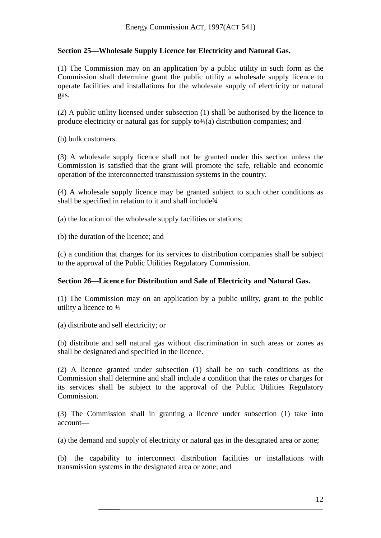## **Section 25—Wholesale Supply Licence for Electricity and Natural Gas.**

(1) The Commission may on an application by a public utility in such form as the Commission shall determine grant the public utility a wholesale supply licence to operate facilities and installations for the wholesale supply of electricity or natural gas.

(2) A public utility licensed under subsection (1) shall be authorised by the licence to produce electricity or natural gas for supply  $\text{to} \frac{3}{4}$  distribution companies; and

(b) bulk customers.

(3) A wholesale supply licence shall not be granted under this section unless the Commission is satisfied that the grant will promote the safe, reliable and economic operation of the interconnected transmission systems in the country.

(4) A wholesale supply licence may be granted subject to such other conditions as shall be specified in relation to it and shall include<sup>3</sup>/4

(a) the location of the wholesale supply facilities or stations;

(b) the duration of the licence; and

(c) a condition that charges for its services to distribution companies shall be subject to the approval of the Public Utilities Regulatory Commission.

#### **Section 26—Licence for Distribution and Sale of Electricity and Natural Gas.**

(1) The Commission may on an application by a public utility, grant to the public utility a licence to ¾

(a) distribute and sell electricity; or

(b) distribute and sell natural gas without discrimination in such areas or zones as shall be designated and specified in the licence.

(2) A licence granted under subsection (1) shall be on such conditions as the Commission shall determine and shall include a condition that the rates or charges for its services shall be subject to the approval of the Public Utilities Regulatory Commission.

(3) The Commission shall in granting a licence under subsection (1) take into account—

(a) the demand and supply of electricity or natural gas in the designated area or zone;

(b) the capability to interconnect distribution facilities or installations with transmission systems in the designated area or zone; and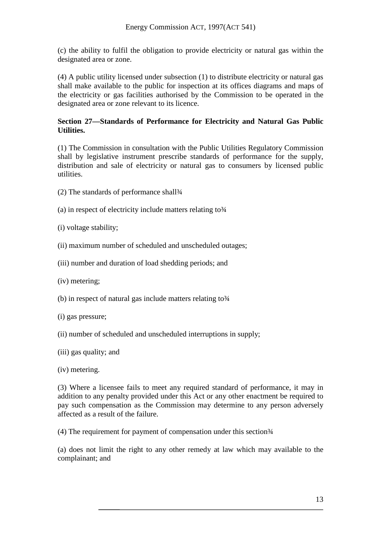(c) the ability to fulfil the obligation to provide electricity or natural gas within the designated area or zone.

(4) A public utility licensed under subsection (1) to distribute electricity or natural gas shall make available to the public for inspection at its offices diagrams and maps of the electricity or gas facilities authorised by the Commission to be operated in the designated area or zone relevant to its licence.

## **Section 27—Standards of Performance for Electricity and Natural Gas Public Utilities.**

(1) The Commission in consultation with the Public Utilities Regulatory Commission shall by legislative instrument prescribe standards of performance for the supply, distribution and sale of electricity or natural gas to consumers by licensed public utilities.

- (2) The standards of performance shall<sup>3</sup>/4
- (a) in respect of electricity include matters relating to  $\frac{3}{4}$
- (i) voltage stability;
- (ii) maximum number of scheduled and unscheduled outages;
- (iii) number and duration of load shedding periods; and
- (iv) metering;
- (b) in respect of natural gas include matters relating to  $\frac{3}{4}$
- (i) gas pressure;
- (ii) number of scheduled and unscheduled interruptions in supply;
- (iii) gas quality; and
- (iv) metering.

(3) Where a licensee fails to meet any required standard of performance, it may in addition to any penalty provided under this Act or any other enactment be required to pay such compensation as the Commission may determine to any person adversely affected as a result of the failure.

 $(4)$  The requirement for payment of compensation under this section $\frac{3}{4}$ 

(a) does not limit the right to any other remedy at law which may available to the complainant; and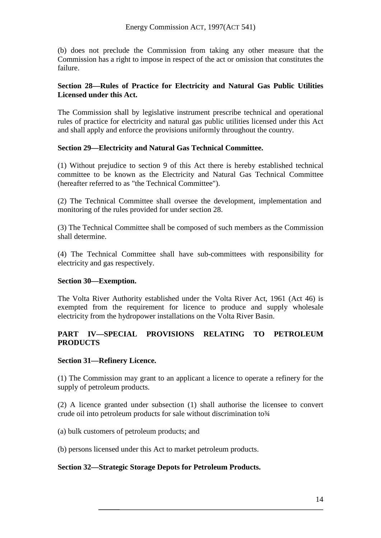(b) does not preclude the Commission from taking any other measure that the Commission has a right to impose in respect of the act or omission that constitutes the failure.

## **Section 28—Rules of Practice for Electricity and Natural Gas Public Utilities Licensed under this Act.**

The Commission shall by legislative instrument prescribe technical and operational rules of practice for electricity and natural gas public utilities licensed under this Act and shall apply and enforce the provisions uniformly throughout the country.

## **Section 29—Electricity and Natural Gas Technical Committee.**

(1) Without prejudice to section 9 of this Act there is hereby established technical committee to be known as the Electricity and Natural Gas Technical Committee (hereafter referred to as "the Technical Committee").

(2) The Technical Committee shall oversee the development, implementation and monitoring of the rules provided for under section 28.

(3) The Technical Committee shall be composed of such members as the Commission shall determine.

(4) The Technical Committee shall have sub-committees with responsibility for electricity and gas respectively.

## **Section 30—Exemption.**

The Volta River Authority established under the Volta River Act, 1961 (Act 46) is exempted from the requirement for licence to produce and supply wholesale electricity from the hydropower installations on the Volta River Basin.

## **PART IV—SPECIAL PROVISIONS RELATING TO PETROLEUM PRODUCTS**

#### **Section 31—Refinery Licence.**

(1) The Commission may grant to an applicant a licence to operate a refinery for the supply of petroleum products.

(2) A licence granted under subsection (1) shall authorise the licensee to convert crude oil into petroleum products for sale without discrimination to 3⁄4

(a) bulk customers of petroleum products; and

(b) persons licensed under this Act to market petroleum products.

## **Section 32—Strategic Storage Depots for Petroleum Products.**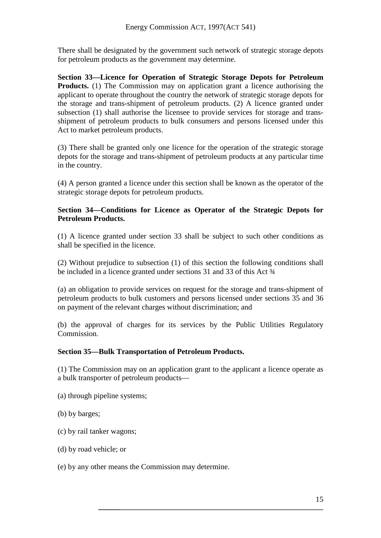There shall be designated by the government such network of strategic storage depots for petroleum products as the government may determine.

**Section 33—Licence for Operation of Strategic Storage Depots for Petroleum Products.** (1) The Commission may on application grant a licence authorising the applicant to operate throughout the country the network of strategic storage depots for the storage and trans-shipment of petroleum products. (2) A licence granted under subsection (1) shall authorise the licensee to provide services for storage and transshipment of petroleum products to bulk consumers and persons licensed under this Act to market petroleum products.

(3) There shall be granted only one licence for the operation of the strategic storage depots for the storage and trans-shipment of petroleum products at any particular time in the country.

(4) A person granted a licence under this section shall be known as the operator of the strategic storage depots for petroleum products.

## **Section 34—Conditions for Licence as Operator of the Strategic Depots for Petroleum Products.**

(1) A licence granted under section 33 shall be subject to such other conditions as shall be specified in the licence.

(2) Without prejudice to subsection (1) of this section the following conditions shall be included in a licence granted under sections 31 and 33 of this Act  $\frac{3}{4}$ 

(a) an obligation to provide services on request for the storage and trans-shipment of petroleum products to bulk customers and persons licensed under sections 35 and 36 on payment of the relevant charges without discrimination; and

(b) the approval of charges for its services by the Public Utilities Regulatory Commission.

## **Section 35—Bulk Transportation of Petroleum Products.**

(1) The Commission may on an application grant to the applicant a licence operate as a bulk transporter of petroleum products—

- (a) through pipeline systems;
- (b) by barges;
- (c) by rail tanker wagons;
- (d) by road vehicle; or

#### (e) by any other means the Commission may determine.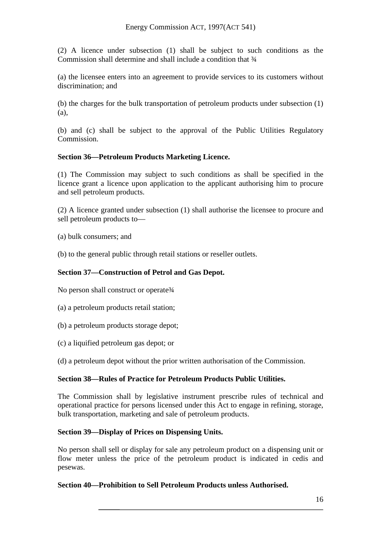(2) A licence under subsection (1) shall be subject to such conditions as the Commission shall determine and shall include a condition that  $\frac{3}{4}$ 

(a) the licensee enters into an agreement to provide services to its customers without discrimination; and

(b) the charges for the bulk transportation of petroleum products under subsection (1) (a),

(b) and (c) shall be subject to the approval of the Public Utilities Regulatory Commission.

## **Section 36—Petroleum Products Marketing Licence.**

(1) The Commission may subject to such conditions as shall be specified in the licence grant a licence upon application to the applicant authorising him to procure and sell petroleum products.

(2) A licence granted under subsection (1) shall authorise the licensee to procure and sell petroleum products to—

(a) bulk consumers; and

(b) to the general public through retail stations or reseller outlets.

## **Section 37—Construction of Petrol and Gas Depot.**

No person shall construct or operate 3/4

- (a) a petroleum products retail station;
- (b) a petroleum products storage depot;
- (c) a liquified petroleum gas depot; or

(d) a petroleum depot without the prior written authorisation of the Commission.

#### **Section 38—Rules of Practice for Petroleum Products Public Utilities.**

The Commission shall by legislative instrument prescribe rules of technical and operational practice for persons licensed under this Act to engage in refining, storage, bulk transportation, marketing and sale of petroleum products.

#### **Section 39—Display of Prices on Dispensing Units.**

No person shall sell or display for sale any petroleum product on a dispensing unit or flow meter unless the price of the petroleum product is indicated in cedis and pesewas.

#### **Section 40—Prohibition to Sell Petroleum Products unless Authorised.**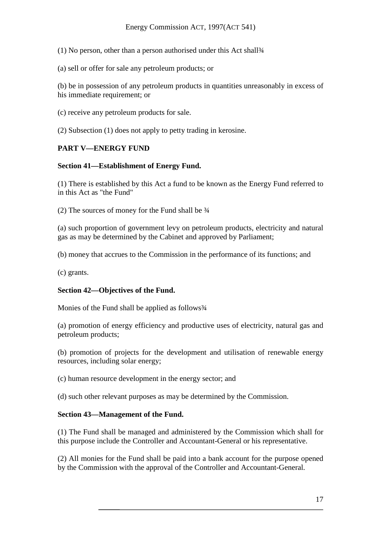(1) No person, other than a person authorised under this Act shall¾

(a) sell or offer for sale any petroleum products; or

(b) be in possession of any petroleum products in quantities unreasonably in excess of his immediate requirement; or

(c) receive any petroleum products for sale.

(2) Subsection (1) does not apply to petty trading in kerosine.

#### **PART V—ENERGY FUND**

#### **Section 41—Establishment of Energy Fund.**

(1) There is established by this Act a fund to be known as the Energy Fund referred to in this Act as "the Fund"

(2) The sources of money for the Fund shall be  $\frac{3}{4}$ 

(a) such proportion of government levy on petroleum products, electricity and natural gas as may be determined by the Cabinet and approved by Parliament;

(b) money that accrues to the Commission in the performance of its functions; and

(c) grants.

#### **Section 42—Objectives of the Fund.**

Monies of the Fund shall be applied as follows<sup>3</sup>/4

(a) promotion of energy efficiency and productive uses of electricity, natural gas and petroleum products;

(b) promotion of projects for the development and utilisation of renewable energy resources, including solar energy;

(c) human resource development in the energy sector; and

(d) such other relevant purposes as may be determined by the Commission.

#### **Section 43—Management of the Fund.**

(1) The Fund shall be managed and administered by the Commission which shall for this purpose include the Controller and Accountant-General or his representative.

(2) All monies for the Fund shall be paid into a bank account for the purpose opened by the Commission with the approval of the Controller and Accountant-General.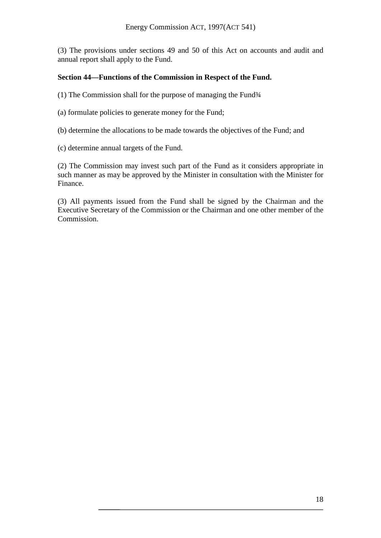(3) The provisions under sections 49 and 50 of this Act on accounts and audit and annual report shall apply to the Fund.

## **Section 44—Functions of the Commission in Respect of the Fund.**

(1) The Commission shall for the purpose of managing the Fund $\frac{3}{4}$ 

(a) formulate policies to generate money for the Fund;

(b) determine the allocations to be made towards the objectives of the Fund; and

(c) determine annual targets of the Fund.

(2) The Commission may invest such part of the Fund as it considers appropriate in such manner as may be approved by the Minister in consultation with the Minister for Finance.

(3) All payments issued from the Fund shall be signed by the Chairman and the Executive Secretary of the Commission or the Chairman and one other member of the Commission.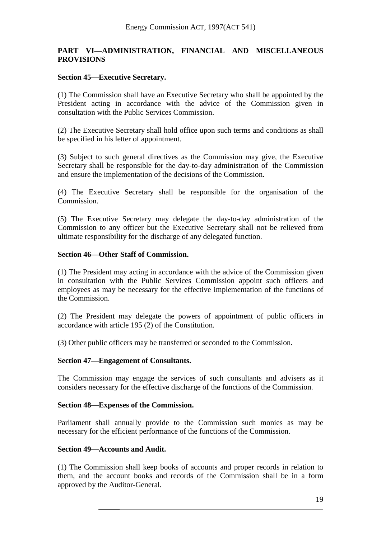#### **PART VI—ADMINISTRATION, FINANCIAL AND MISCELLANEOUS PROVISIONS**

#### **Section 45—Executive Secretary.**

(1) The Commission shall have an Executive Secretary who shall be appointed by the President acting in accordance with the advice of the Commission given in consultation with the Public Services Commission.

(2) The Executive Secretary shall hold office upon such terms and conditions as shall be specified in his letter of appointment.

(3) Subject to such general directives as the Commission may give, the Executive Secretary shall be responsible for the day-to-day administration of the Commission and ensure the implementation of the decisions of the Commission.

(4) The Executive Secretary shall be responsible for the organisation of the Commission.

(5) The Executive Secretary may delegate the day-to-day administration of the Commission to any officer but the Executive Secretary shall not be relieved from ultimate responsibility for the discharge of any delegated function.

#### **Section 46—Other Staff of Commission.**

(1) The President may acting in accordance with the advice of the Commission given in consultation with the Public Services Commission appoint such officers and employees as may be necessary for the effective implementation of the functions of the Commission.

(2) The President may delegate the powers of appointment of public officers in accordance with article 195 (2) of the Constitution.

(3) Other public officers may be transferred or seconded to the Commission.

#### **Section 47—Engagement of Consultants.**

The Commission may engage the services of such consultants and advisers as it considers necessary for the effective discharge of the functions of the Commission.

#### **Section 48—Expenses of the Commission.**

Parliament shall annually provide to the Commission such monies as may be necessary for the efficient performance of the functions of the Commission.

#### **Section 49—Accounts and Audit.**

(1) The Commission shall keep books of accounts and proper records in relation to them, and the account books and records of the Commission shall be in a form approved by the Auditor-General.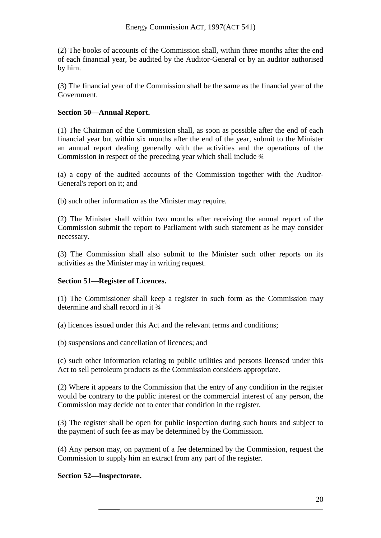(2) The books of accounts of the Commission shall, within three months after the end of each financial year, be audited by the Auditor-General or by an auditor authorised by him.

(3) The financial year of the Commission shall be the same as the financial year of the Government.

## **Section 50—Annual Report.**

(1) The Chairman of the Commission shall, as soon as possible after the end of each financial year but within six months after the end of the year, submit to the Minister an annual report dealing generally with the activities and the operations of the Commission in respect of the preceding year which shall include ¾

(a) a copy of the audited accounts of the Commission together with the Auditor-General's report on it; and

(b) such other information as the Minister may require.

(2) The Minister shall within two months after receiving the annual report of the Commission submit the report to Parliament with such statement as he may consider necessary.

(3) The Commission shall also submit to the Minister such other reports on its activities as the Minister may in writing request.

## **Section 51—Register of Licences.**

(1) The Commissioner shall keep a register in such form as the Commission may determine and shall record in it  $\frac{3}{4}$ 

(a) licences issued under this Act and the relevant terms and conditions;

(b) suspensions and cancellation of licences; and

(c) such other information relating to public utilities and persons licensed under this Act to sell petroleum products as the Commission considers appropriate.

(2) Where it appears to the Commission that the entry of any condition in the register would be contrary to the public interest or the commercial interest of any person, the Commission may decide not to enter that condition in the register.

(3) The register shall be open for public inspection during such hours and subject to the payment of such fee as may be determined by the Commission.

(4) Any person may, on payment of a fee determined by the Commission, request the Commission to supply him an extract from any part of the register.

## **Section 52—Inspectorate.**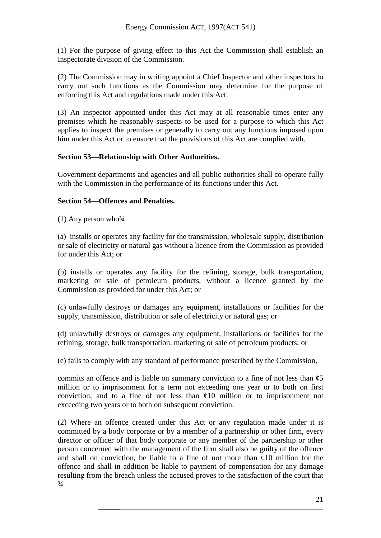(1) For the purpose of giving effect to this Act the Commission shall establish an Inspectorate division of the Commission.

(2) The Commission may in writing appoint a Chief Inspector and other inspectors to carry out such functions as the Commission may determine for the purpose of enforcing this Act and regulations made under this Act.

(3) An inspector appointed under this Act may at all reasonable times enter any premises which he reasonably suspects to be used for a purpose to which this Act applies to inspect the premises or generally to carry out any functions imposed upon him under this Act or to ensure that the provisions of this Act are complied with.

#### **Section 53—Relationship with Other Authorities.**

Government departments and agencies and all public authorities shall co-operate fully with the Commission in the performance of its functions under this Act.

#### **Section 54—Offences and Penalties.**

(1) Any person who  $\frac{3}{4}$ 

(a) installs or operates any facility for the transmission, wholesale supply, distribution or sale of electricity or natural gas without a licence from the Commission as provided for under this Act; or

(b) installs or operates any facility for the refining, storage, bulk transportation, marketing or sale of petroleum products, without a licence granted by the Commission as provided for under this Act; or

(c) unlawfully destroys or damages any equipment, installations or facilities for the supply, transmission, distribution or sale of electricity or natural gas; or

(d) unlawfully destroys or damages any equipment, installations or facilities for the refining, storage, bulk transportation, marketing or sale of petroleum products; or

(e) fails to comply with any standard of performance prescribed by the Commission,

commits an offence and is liable on summary conviction to a fine of not less than  $\varphi$ 5 million or to imprisonment for a term not exceeding one year or to both on first conviction; and to a fine of not less than  $\varphi$ 10 million or to imprisonment not exceeding two years or to both on subsequent conviction.

(2) Where an offence created under this Act or any regulation made under it is committed by a body corporate or by a member of a partnership or other firm, every director or officer of that body corporate or any member of the partnership or other person concerned with the management of the firm shall also be guilty of the offence and shall on conviction, be liable to a fine of not more than  $\varphi$ 10 million for the offence and shall in addition be liable to payment of compensation for any damage resulting from the breach unless the accused proves to the satisfaction of the court that  $\frac{3}{4}$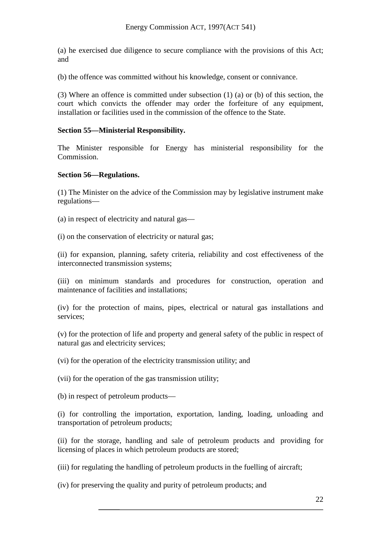(a) he exercised due diligence to secure compliance with the provisions of this Act; and

(b) the offence was committed without his knowledge, consent or connivance.

(3) Where an offence is committed under subsection (1) (a) or (b) of this section, the court which convicts the offender may order the forfeiture of any equipment, installation or facilities used in the commission of the offence to the State.

## **Section 55—Ministerial Responsibility.**

The Minister responsible for Energy has ministerial responsibility for the Commission.

#### **Section 56—Regulations.**

(1) The Minister on the advice of the Commission may by legislative instrument make regulations—

- (a) in respect of electricity and natural gas—
- (i) on the conservation of electricity or natural gas;

(ii) for expansion, planning, safety criteria, reliability and cost effectiveness of the interconnected transmission systems;

(iii) on minimum standards and procedures for construction, operation and maintenance of facilities and installations;

(iv) for the protection of mains, pipes, electrical or natural gas installations and services;

(v) for the protection of life and property and general safety of the public in respect of natural gas and electricity services;

(vi) for the operation of the electricity transmission utility; and

(vii) for the operation of the gas transmission utility;

(b) in respect of petroleum products—

(i) for controlling the importation, exportation, landing, loading, unloading and transportation of petroleum products;

(ii) for the storage, handling and sale of petroleum products and providing for licensing of places in which petroleum products are stored;

(iii) for regulating the handling of petroleum products in the fuelling of aircraft;

(iv) for preserving the quality and purity of petroleum products; and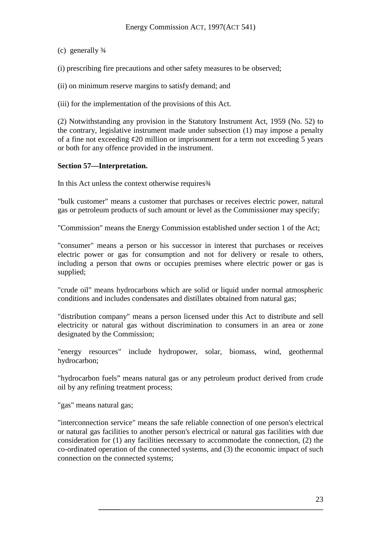(c) generally ¾

(i) prescribing fire precautions and other safety measures to be observed;

(ii) on minimum reserve margins to satisfy demand; and

(iii) for the implementation of the provisions of this Act.

(2) Notwithstanding any provision in the Statutory Instrument Act, 1959 (No. 52) to the contrary, legislative instrument made under subsection (1) may impose a penalty of a fine not exceeding  $\epsilon$ 20 million or imprisonment for a term not exceeding 5 years or both for any offence provided in the instrument.

#### **Section 57—Interpretation.**

In this Act unless the context otherwise requires 3/4

"bulk customer" means a customer that purchases or receives electric power, natural gas or petroleum products of such amount or level as the Commissioner may specify;

"Commission" means the Energy Commission established under section 1 of the Act;

"consumer" means a person or his successor in interest that purchases or receives electric power or gas for consumption and not for delivery or resale to others, including a person that owns or occupies premises where electric power or gas is supplied;

"crude oil" means hydrocarbons which are solid or liquid under normal atmospheric conditions and includes condensates and distillates obtained from natural gas;

"distribution company" means a person licensed under this Act to distribute and sell electricity or natural gas without discrimination to consumers in an area or zone designated by the Commission;

"energy resources" include hydropower, solar, biomass, wind, geothermal hydrocarbon;

"hydrocarbon fuels" means natural gas or any petroleum product derived from crude oil by any refining treatment process;

"gas" means natural gas;

"interconnection service" means the safe reliable connection of one person's electrical or natural gas facilities to another person's electrical or natural gas facilities with due consideration for (1) any facilities necessary to accommodate the connection, (2) the co-ordinated operation of the connected systems, and (3) the economic impact of such connection on the connected systems;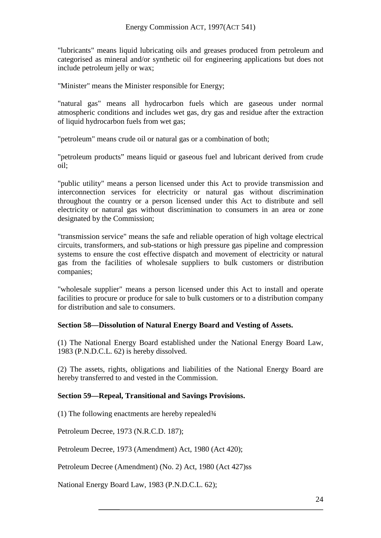"lubricants" means liquid lubricating oils and greases produced from petroleum and categorised as mineral and/or synthetic oil for engineering applications but does not include petroleum jelly or wax;

"Minister" means the Minister responsible for Energy;

"natural gas" means all hydrocarbon fuels which are gaseous under normal atmospheric conditions and includes wet gas, dry gas and residue after the extraction of liquid hydrocarbon fuels from wet gas;

"petroleum" means crude oil or natural gas or a combination of both;

"petroleum products" means liquid or gaseous fuel and lubricant derived from crude oil;

"public utility" means a person licensed under this Act to provide transmission and interconnection services for electricity or natural gas without discrimination throughout the country or a person licensed under this Act to distribute and sell electricity or natural gas without discrimination to consumers in an area or zone designated by the Commission;

"transmission service" means the safe and reliable operation of high voltage electrical circuits, transformers, and sub-stations or high pressure gas pipeline and compression systems to ensure the cost effective dispatch and movement of electricity or natural gas from the facilities of wholesale suppliers to bulk customers or distribution companies;

"wholesale supplier" means a person licensed under this Act to install and operate facilities to procure or produce for sale to bulk customers or to a distribution company for distribution and sale to consumers.

## **Section 58—Dissolution of Natural Energy Board and Vesting of Assets.**

(1) The National Energy Board established under the National Energy Board Law, 1983 (P.N.D.C.L. 62) is hereby dissolved.

(2) The assets, rights, obligations and liabilities of the National Energy Board are hereby transferred to and vested in the Commission.

## **Section 59—Repeal, Transitional and Savings Provisions.**

(1) The following enactments are hereby repealed¾

Petroleum Decree, 1973 (N.R.C.D. 187);

Petroleum Decree, 1973 (Amendment) Act, 1980 (Act 420);

Petroleum Decree (Amendment) (No. 2) Act, 1980 (Act 427)ss

National Energy Board Law, 1983 (P.N.D.C.L. 62);